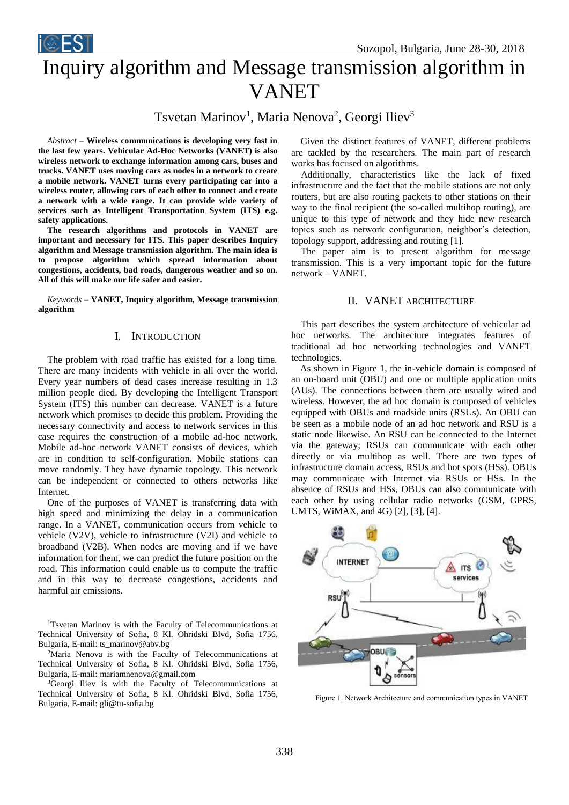

# Inquiry algorithm and Message transmission algorithm in VANET

Tsvetan Marinov<sup>1</sup>, Maria Nenova<sup>2</sup>, Georgi Iliev<sup>3</sup>

*Abstract –* **Wireless communications is developing very fast in the last few years. Vehicular Ad-Hoc Networks (VANET) is also wireless network to exchange information among cars, buses and trucks. VANET uses moving cars as nodes in a network to create a mobile network. VANET turns every participating car into a wireless router, allowing cars of each other to connect and create a network with a wide range. It can provide wide variety of services such as Intelligent Transportation System (ITS) e.g. safety applications.**

**The research algorithms and protocols in VANET are important and necessary for ITS. This paper describes Inquiry algorithm and Message transmission algorithm. The main idea is to propose algorithm which spread information about congestions, accidents, bad roads, dangerous weather and so on. All of this will make our life safer and easier.**

*Keywords –* **VANET, Inquiry algorithm, Message transmission algorithm**

## I. INTRODUCTION

The problem with road traffic has existed for a long time. There are many incidents with vehicle in all over the world. Every year numbers of dead cases increase resulting in 1.3 million people died. By developing the Intelligent Transport System (ITS) this number can decrease. VANET is a future network which promises to decide this problem. Providing the necessary connectivity and access to network services in this case requires the construction of a mobile ad-hoc network. Mobile ad-hoc network VANET consists of devices, which are in condition to self-configuration. Mobile stations can move randomly. They have dynamic topology. This network can be independent or connected to others networks like Internet.

One of the purposes of VANET is transferring data with high speed and minimizing the delay in a communication range. In a VANET, communication occurs from vehicle to vehicle (V2V), vehicle to infrastructure (V2I) and vehicle to broadband (V2B). When nodes are moving and if we have information for them, we can predict the future position on the road. This information could enable us to compute the traffic and in this way to decrease congestions, accidents and harmful air emissions.

<sup>1</sup>Tsvetan Marinov is with the Faculty of Telecommunications at Technical University of Sofia, 8 Kl. Ohridski Blvd, Sofia 1756, Bulgaria, E-mail: ts\_marinov@abv.bg

<sup>2</sup>Maria Nenova is with the Faculty of Telecommunications at Technical University of Sofia, 8 Kl. Ohridski Blvd, Sofia 1756, Bulgaria, E-mail: mariamnenova@gmail.com

<sup>3</sup>Georgi Iliev is with the Faculty of Telecommunications at Technical University of Sofia, 8 Kl. Ohridski Blvd, Sofia 1756, Bulgaria, E-mail: gli@tu-sofia.bg

Given the distinct features of VANET, different problems are tackled by the researchers. The main part of research works has focused on algorithms.

 Additionally, characteristics like the lack of fixed infrastructure and the fact that the mobile stations are not only routers, but are also routing packets to other stations on their way to the final recipient (the so-called multihop routing), are unique to this type of network and they hide new research topics such as network configuration, neighbor's detection, topology support, addressing and routing [1].

The paper aim is to present algorithm for message transmission. This is a very important topic for the future network – VANET.

## II. VANET ARCHITECTURE

This part describes the system architecture of vehicular ad hoc networks. The architecture integrates features of traditional ad hoc networking technologies and VANET technologies.

As shown in Figure 1, the in-vehicle domain is composed of an on-board unit (OBU) and one or multiple application units (AUs). The connections between them are usually wired and wireless. However, the ad hoc domain is composed of vehicles equipped with OBUs and roadside units (RSUs). An OBU can be seen as a mobile node of an ad hoc network and RSU is a static node likewise. An RSU can be connected to the Internet via the gateway; RSUs can communicate with each other directly or via multihop as well. There are two types of infrastructure domain access, RSUs and hot spots (HSs). OBUs may communicate with Internet via RSUs or HSs. In the absence of RSUs and HSs, OBUs can also communicate with each other by using cellular radio networks (GSM, GPRS, UMTS, WiMAX, and 4G) [2], [3], [4].



Figure 1. Network Architecture and communication types in VANET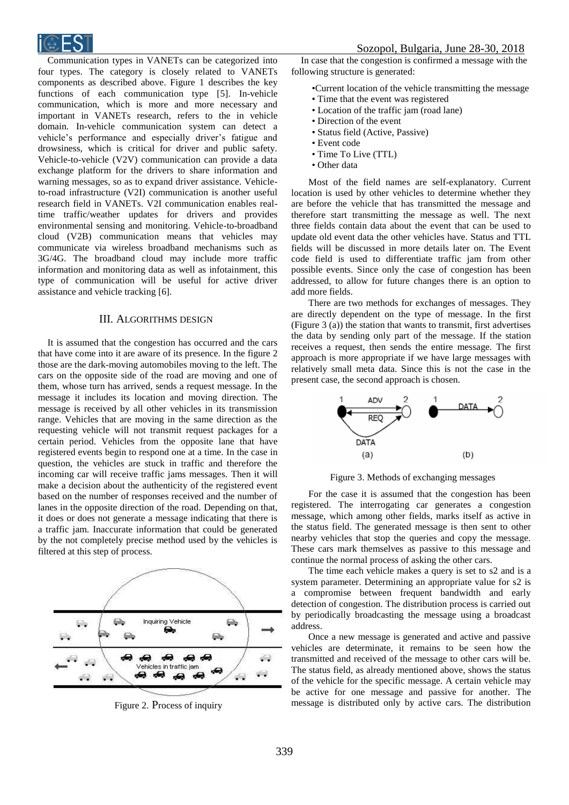

Communication types in VANETs can be categorized into four types. The category is closely related to VANETs components as described above. Figure 1 describes the key functions of each communication type [5]. In-vehicle communication, which is more and more necessary and important in VANETs research, refers to the in vehicle domain. In-vehicle communication system can detect a vehicle's performance and especially driver's fatigue and drowsiness, which is critical for driver and public safety. Vehicle-to-vehicle (V2V) communication can provide a data exchange platform for the drivers to share information and warning messages, so as to expand driver assistance. Vehicleto-road infrastructure (V2I) communication is another useful research field in VANETs. V2I communication enables realtime traffic/weather updates for drivers and provides environmental sensing and monitoring. Vehicle-to-broadband cloud (V2B) communication means that vehicles may communicate via wireless broadband mechanisms such as 3G/4G. The broadband cloud may include more traffic information and monitoring data as well as infotainment, this type of communication will be useful for active driver assistance and vehicle tracking [6].

## III. ALGORITHMS DESIGN

It is assumed that the congestion has occurred and the cars that have come into it are aware of its presence. In the figure 2 those are the dark-moving automobiles moving to the left. The cars on the opposite side of the road are moving and one of them, whose turn has arrived, sends a request message. In the message it includes its location and moving direction. The message is received by all other vehicles in its transmission range. Vehicles that are moving in the same direction as the requesting vehicle will not transmit request packages for a certain period. Vehicles from the opposite lane that have registered events begin to respond one at a time. In the case in question, the vehicles are stuck in traffic and therefore the incoming car will receive traffic jams messages. Then it will make a decision about the authenticity of the registered event based on the number of responses received and the number of lanes in the opposite direction of the road. Depending on that, it does or does not generate a message indicating that there is a traffic jam. Inaccurate information that could be generated by the not completely precise method used by the vehicles is filtered at this step of process.



Figure 2. Process of inquiry

In case that the congestion is confirmed a message with the following structure is generated:

•Current location of the vehicle transmitting the message • Time that the event was registered

- Location of the traffic jam (road lane)
- Direction of the event
- Status field (Active, Passive)
- Event code
- Time To Live (TTL)
- Other data

Most of the field names are self-explanatory. Current location is used by other vehicles to determine whether they are before the vehicle that has transmitted the message and therefore start transmitting the message as well. The next three fields contain data about the event that can be used to update old event data the other vehicles have. Status and TTL fields will be discussed in more details later on. The Event code field is used to differentiate traffic jam from other possible events. Since only the case of congestion has been addressed, to allow for future changes there is an option to add more fields.

There are two methods for exchanges of messages. They are directly dependent on the type of message. In the first (Figure 3 (a)) the station that wants to transmit, first advertises the data by sending only part of the message. If the station receives a request, then sends the entire message. The first approach is more appropriate if we have large messages with relatively small meta data. Since this is not the case in the present case, the second approach is chosen.



Figure 3. Methods of exchanging messages

For the case it is assumed that the congestion has been registered. The interrogating car generates a congestion message, which among other fields, marks itself as active in the status field. The generated message is then sent to other nearby vehicles that stop the queries and copy the message. These cars mark themselves as passive to this message and continue the normal process of asking the other cars.

The time each vehicle makes a query is set to s2 and is a system parameter. Determining an appropriate value for s2 is a compromise between frequent bandwidth and early detection of congestion. The distribution process is carried out by periodically broadcasting the message using a broadcast address.

Once a new message is generated and active and passive vehicles are determinate, it remains to be seen how the transmitted and received of the message to other cars will be. The status field, as already mentioned above, shows the status of the vehicle for the specific message. A certain vehicle may be active for one message and passive for another. The message is distributed only by active cars. The distribution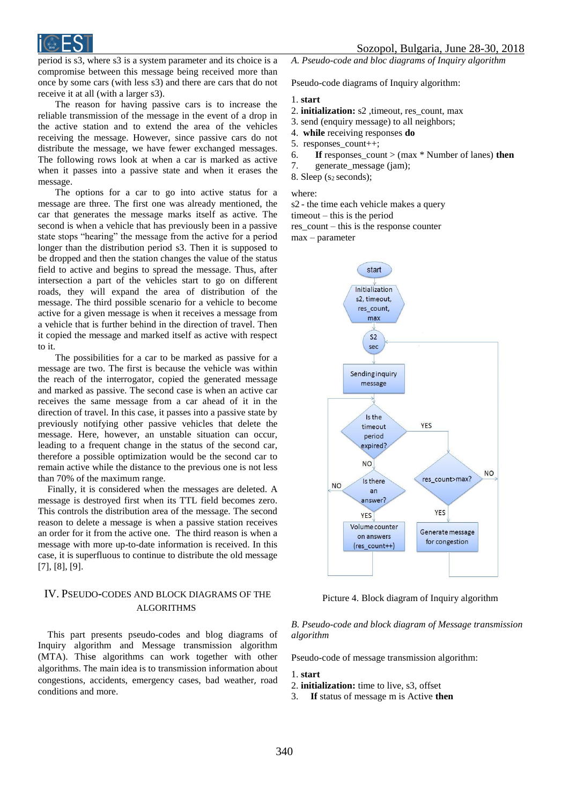

period is s3, where s3 is a system parameter and its choice is a compromise between this message being received more than once by some cars (with less s3) and there are cars that do not receive it at all (with a larger s3).

The reason for having passive cars is to increase the reliable transmission of the message in the event of a drop in the active station and to extend the area of the vehicles receiving the message. However, since passive cars do not distribute the message, we have fewer exchanged messages. The following rows look at when a car is marked as active when it passes into a passive state and when it erases the message.

The options for a car to go into active status for a message are three. The first one was already mentioned, the car that generates the message marks itself as active. The second is when a vehicle that has previously been in a passive state stops "hearing" the message from the active for a period longer than the distribution period s3. Then it is supposed to be dropped and then the station changes the value of the status field to active and begins to spread the message. Thus, after intersection a part of the vehicles start to go on different roads, they will expand the area of distribution of the message. The third possible scenario for a vehicle to become active for a given message is when it receives a message from a vehicle that is further behind in the direction of travel. Then it copied the message and marked itself as active with respect to it.

The possibilities for a car to be marked as passive for a message are two. The first is because the vehicle was within the reach of the interrogator, copied the generated message and marked as passive. The second case is when an active car receives the same message from a car ahead of it in the direction of travel. In this case, it passes into a passive state by previously notifying other passive vehicles that delete the message. Here, however, an unstable situation can occur, leading to a frequent change in the status of the second car, therefore a possible optimization would be the second car to remain active while the distance to the previous one is not less than 70% of the maximum range.

Finally, it is considered when the messages are deleted. A message is destroyed first when its TTL field becomes zero. This controls the distribution area of the message. The second reason to delete a message is when a passive station receives an order for it from the active one. The third reason is when a message with more up-to-date information is received. In this case, it is superfluous to continue to distribute the old message [7], [8], [9].

# IV. PSEUDO-CODES AND BLOCK DIAGRAMS OF THE **ALGORITHMS**

This part presents pseudo-codes and blog diagrams of Inquiry algorithm and Message transmission algorithm (MTA). Thisе algorithms can work together with other algorithms. The main idea is to transmission information about congestions, accidents, emergency cases, bad weather, road conditions and more.

*A. Pseudo-code and bloc diagrams of Inquiry algorithm*

Pseudo-code diagrams of Inquiry algorithm:

#### 1. **start**

- 2. **initialization:** s2 , timeout, res count, max
- 3. send (enquiry message) to all neighbors;
- 4. **while** receiving responses **do**
- 5. responses\_count++;
- 6. **If** responses count > (max  $*$  Number of lanes) **then**
- 7. generate message (jam);

8. Sleep  $(s_2$  seconds);

where:

s2 - the time each vehicle makes a query

timeout – this is the period

res  $count - this$  is the response counter

max – parameter



Picture 4. Block diagram of Inquiry algorithm

## *B. Pseudo-code and block diagram of Message transmission algorithm*

Pseudo-code of message transmission algorithm:

#### 1. **start**

- 2. **initialization:** time to live, s3, offset
- 3. **If** status of message m is Active **then**